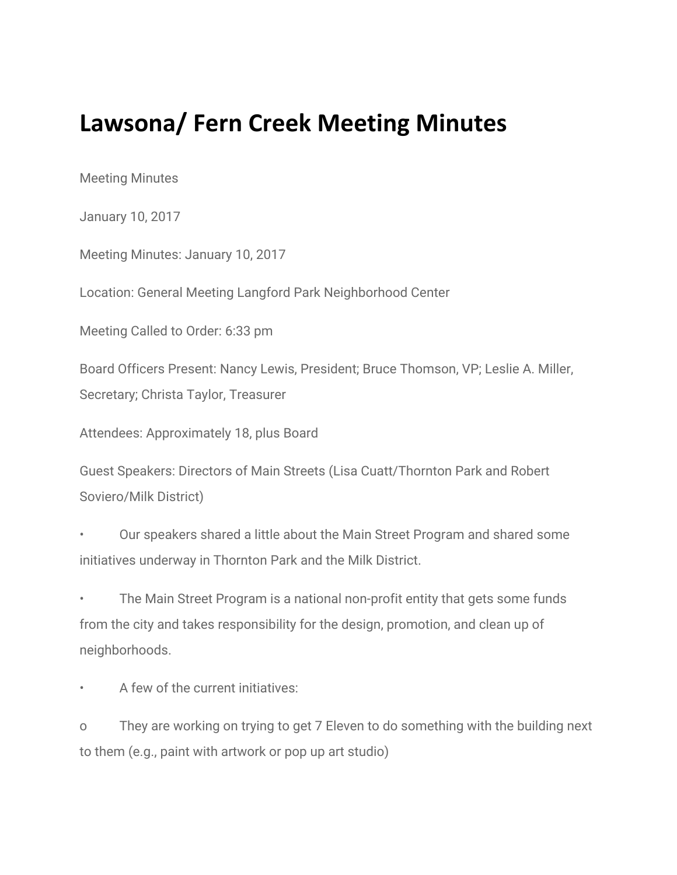## **Lawsona/ Fern Creek Meeting Minutes**

Meeting Minutes

January 10, 2017

Meeting Minutes: January 10, 2017

Location: General Meeting Langford Park Neighborhood Center

Meeting Called to Order: 6:33 pm

Board Officers Present: Nancy Lewis, President; Bruce Thomson, VP; Leslie A. Miller, Secretary; Christa Taylor, Treasurer

Attendees: Approximately 18, plus Board

Guest Speakers: Directors of Main Streets (Lisa Cuatt/Thornton Park and Robert Soviero/Milk District)

• Our speakers shared a little about the Main Street Program and shared some initiatives underway in Thornton Park and the Milk District.

The Main Street Program is a national non-profit entity that gets some funds from the city and takes responsibility for the design, promotion, and clean up of neighborhoods.

A few of the current initiatives:

o They are working on trying to get 7 Eleven to do something with the building next to them (e.g., paint with artwork or pop up art studio)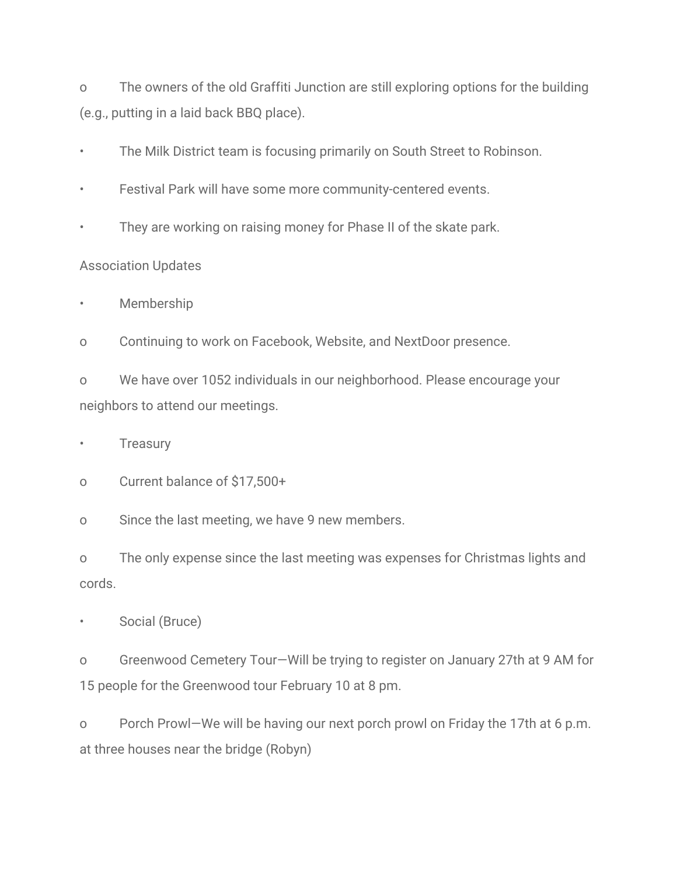o The owners of the old Graffiti Junction are still exploring options for the building (e.g., putting in a laid back BBQ place).

- The Milk District team is focusing primarily on South Street to Robinson.
- Festival Park will have some more community-centered events.
- They are working on raising money for Phase II of the skate park.

## Association Updates

**Membership** 

o Continuing to work on Facebook, Website, and NextDoor presence.

o We have over 1052 individuals in our neighborhood. Please encourage your neighbors to attend our meetings.

**Treasury** 

o Current balance of \$17,500+

o Since the last meeting, we have 9 new members.

o The only expense since the last meeting was expenses for Christmas lights and cords.

Social (Bruce)

o Greenwood Cemetery Tour—Will be trying to register on January 27th at 9 AM for 15 people for the Greenwood tour February 10 at 8 pm.

o Porch Prowl—We will be having our next porch prowl on Friday the 17th at 6 p.m. at three houses near the bridge (Robyn)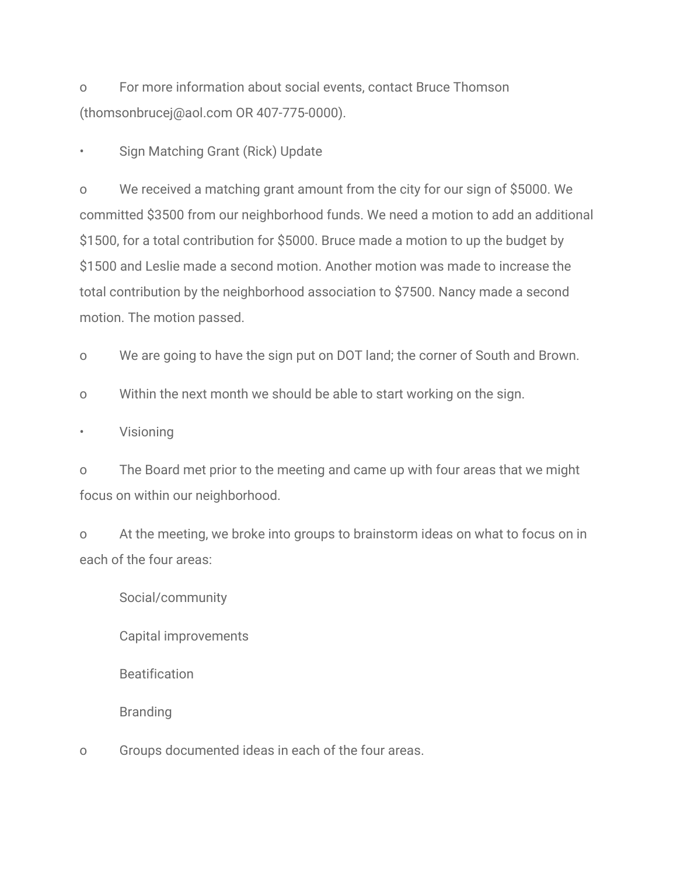o For more information about social events, contact Bruce Thomson (thomsonbrucej@aol.com OR 407-775-0000).

• Sign Matching Grant (Rick) Update

o We received a matching grant amount from the city for our sign of \$5000. We committed \$3500 from our neighborhood funds. We need a motion to add an additional \$1500, for a total contribution for \$5000. Bruce made a motion to up the budget by \$1500 and Leslie made a second motion. Another motion was made to increase the total contribution by the neighborhood association to \$7500. Nancy made a second motion. The motion passed.

o We are going to have the sign put on DOT land; the corner of South and Brown.

o Within the next month we should be able to start working on the sign.

**Visioning** 

o The Board met prior to the meeting and came up with four areas that we might focus on within our neighborhood.

o At the meeting, we broke into groups to brainstorm ideas on what to focus on in each of the four areas:

Social/community

Capital improvements

**Beatification** 

Branding

o Groups documented ideas in each of the four areas.